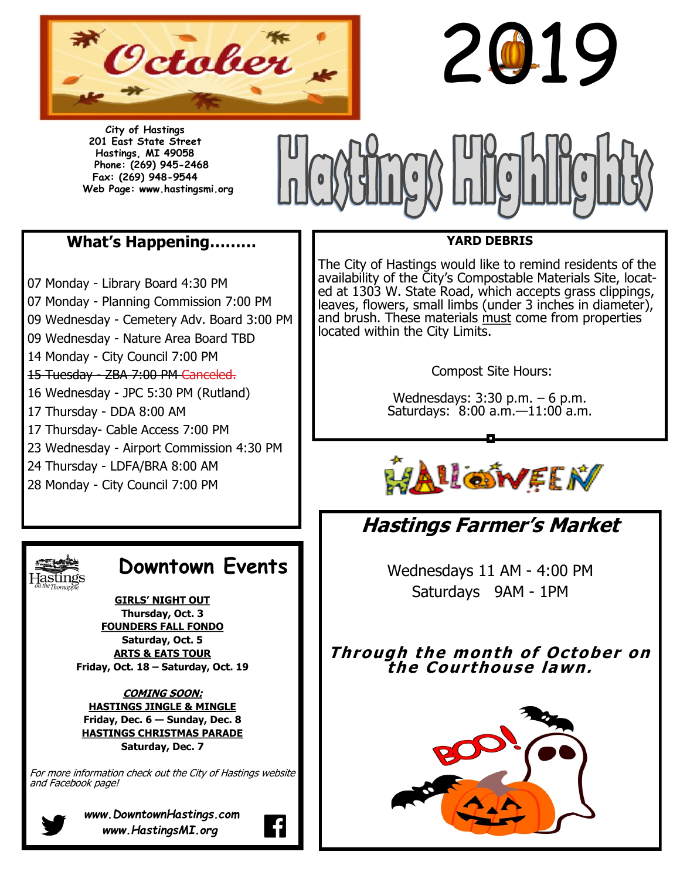

**City of Hastings 201 East State Street Hastings, MI 49058 Phone: (269) 945-2468 Fax: (269) 948-9544 Web Page: www.hastingsmi.org**



# **What's Happening………**

07 Monday - Library Board 4:30 PM 07 Monday - Planning Commission 7:00 PM 09 Wednesday - Cemetery Adv. Board 3:00 PM 09 Wednesday - Nature Area Board TBD 14 Monday - City Council 7:00 PM 15 Tuesday - ZBA 7:00 PM Canceled. 16 Wednesday - JPC 5:30 PM (Rutland) 17 Thursday - DDA 8:00 AM 17 Thursday- Cable Access 7:00 PM 23 Wednesday - Airport Commission 4:30 PM 24 Thursday - LDFA/BRA 8:00 AM 28 Monday - City Council 7:00 PM



# **Downtown Events**

**GIRLS' NIGHT OUT Thursday, Oct. 3 FOUNDERS FALL FONDO Saturday, Oct. 5 ARTS & EATS TOUR Friday, Oct. 18 – Saturday, Oct. 19**

**COMING SOON: HASTINGS JINGLE & MINGLE Friday, Dec. 6 — Sunday, Dec. 8 HASTINGS CHRISTMAS PARADE Saturday, Dec. 7**

For more information check out the City of Hastings website and Facebook page!



*www.DowntownHastings.com www.HastingsMI.org*

## **YARD DEBRIS**

2019

The City of Hastings would like to remind residents of the availability of the City's Compostable Materials Site, located at 1303 W. State Road, which accepts grass clippings, leaves, flowers, small limbs (under 3 inches in diameter), and brush. These materials must come from properties located within the City Limits.

Compost Site Hours:

Wednesdays: 3:30 p.m. – 6 p.m. Saturdays: 8:00 a.m.—11:00 a.m.



# **Hastings Farmer's Market**

Wednesdays 11 AM - 4:00 PM Saturdays 9AM - 1PM

**Through the month of October on the Courthouse lawn.**